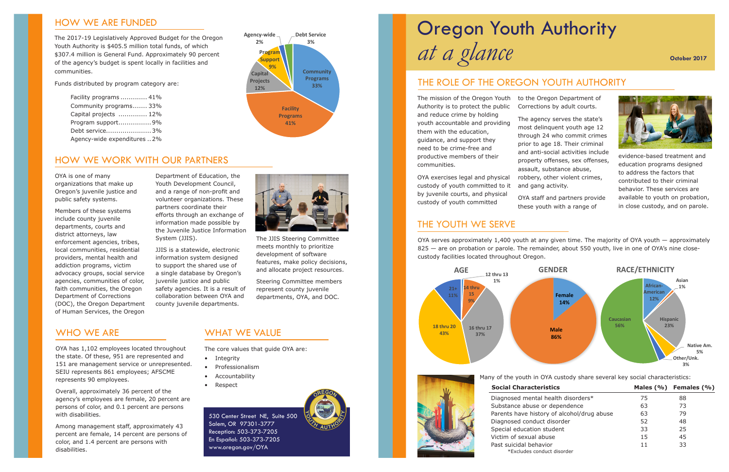Many of the youth in OYA custody share several key social characteristics:

| Il Characteristics                    |    | Males $(\% )$ Females $(\% )$ |
|---------------------------------------|----|-------------------------------|
| osed mental health disorders*         | 75 | 88                            |
| ance abuse or dependence              | 63 | 73                            |
| ts have history of alcohol/drug abuse | 63 | 79                            |
| osed conduct disorder                 | 52 | 48                            |
| al education student                  | 33 | 25                            |
| า of sexual abuse                     | 15 | 45                            |
| uicidal behavior                      | 11 | 33                            |
| *Excludes conduct disorder            |    |                               |

## WHO WE ARE

OYA has 1,102 employees located throughout the state. Of these, 951 are represented and 151 are management service or unrepresented. SEIU represents 861 employees; AFSCME represents 90 employees.

Overall, approximately 36 percent of the agency's employees are female, 20 percent are persons of color, and 0.1 percent are persons with disabilities.

Among management staff, approximately 43 percent are female, 14 percent are persons of color, and 1.4 percent are persons with disabilities.

## WHAT WE VALUE

The core values that guide OYA are:





## **Social Charact**

Diagnosed men Substance abus Parents have hi Diagnosed cond Special educatio Victim of sexual Past suicidal be

- Integrity
- Professionalism
- Accountability
- Respect

## HOW WE ARE FUNDED

The 2017-19 Legislatively Approved Budget for the Oregon Youth Authority is \$405.5 million total funds, of which \$307.4 million is General Fund. Approximately 90 percent of the agency's budget is spent locally in facilities and communities.

Funds distributed by program category are:

| Facility programs  41%       |
|------------------------------|
| Community programs 33%       |
| Capital projects  12%        |
| Program support 9%           |
| Debt service3%               |
| Agency-wide expenditures  2% |

530 Center Street NE, Suite 500 Salem, OR 97301-3777 Reception: 503-373-7205 En Español: 503-373-7205 www.oregon.gov/OYA

## HOW WE WORK WITH OUR PARTNERS

OYA serves approximately 1,400 youth at any given time. The majority of OYA youth — approximately 825 — are on probation or parole. The remainder, about 550 youth, live in one of OYA's nine closecustody facilities located throughout Oregon.

# *at a glance* Oregon Youth Authority



OYA is one of many organizations that make up Oregon's juvenile justice and public safety systems.

Members of these systems include county juvenile departments, courts and district attorneys, law enforcement agencies, tribes, local communities, residential providers, mental health and addiction programs, victim advocacy groups, social service agencies, communities of color, faith communities, the Oregon Department of Corrections (DOC), the Oregon Department of Human Services, the Oregon

Department of Education, the Youth Development Council, and a range of non-profit and volunteer organizations. These partners coordinate their efforts through an exchange of information made possible by the Juvenile Justice Information System (JJIS).

JJIS is a statewide, electronic information system designed to support the shared use of a single database by Oregon's juvenile justice and public safety agencies. It is a result of collaboration between OYA and county juvenile departments.



The JJIS Steering Committee meets monthly to prioritize development of software features, make policy decisions, and allocate project resources.

Steering Committee members represent county juvenile departments, OYA, and DOC.

The mission of the Oregon Youth to the Oregon Department of Authority is to protect the public and reduce crime by holding youth accountable and providing them with the education, guidance, and support they need to be crime-free and productive members of their communities.

OYA exercises legal and physical custody of youth committed to it by juvenile courts, and physical custody of youth committed

Corrections by adult courts.

The agency serves the state's most delinquent youth age 12 through 24 who commit crimes prior to age 18. Their criminal and anti-social activities include property offenses, sex offenses, assault, substance abuse, robbery, other violent crimes, and gang activity.

OYA staff and partners provide these youth with a range of



evidence-based treatment and education programs designed to address the factors that contributed to their criminal behavior. These services are available to youth on probation, in close custody, and on parole.

## THE ROLE OF THE OREGON YOUTH AUTHORITY

## THE YOUTH WE SERVE

### **October 2017**